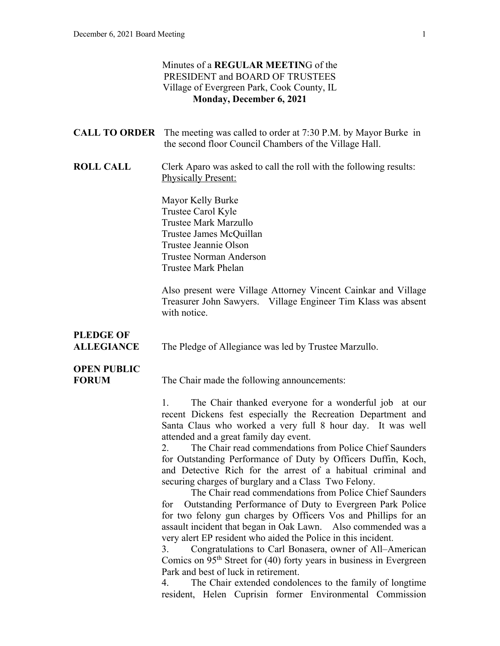### Minutes of a **REGULAR MEETIN**G of the PRESIDENT and BOARD OF TRUSTEES Village of Evergreen Park, Cook County, IL **Monday, December 6, 2021**

|                                       | <b>CALL TO ORDER</b> The meeting was called to order at 7:30 P.M. by Mayor Burke in<br>the second floor Council Chambers of the Village Hall.                                                                                                                                                                                                                                                                                                                                                                                                                                                                                                                                                                                                                                                                                                                                                                                                                                                                                                                                                                                                             |
|---------------------------------------|-----------------------------------------------------------------------------------------------------------------------------------------------------------------------------------------------------------------------------------------------------------------------------------------------------------------------------------------------------------------------------------------------------------------------------------------------------------------------------------------------------------------------------------------------------------------------------------------------------------------------------------------------------------------------------------------------------------------------------------------------------------------------------------------------------------------------------------------------------------------------------------------------------------------------------------------------------------------------------------------------------------------------------------------------------------------------------------------------------------------------------------------------------------|
| <b>ROLL CALL</b>                      | Clerk Aparo was asked to call the roll with the following results:<br><b>Physically Present:</b>                                                                                                                                                                                                                                                                                                                                                                                                                                                                                                                                                                                                                                                                                                                                                                                                                                                                                                                                                                                                                                                          |
|                                       | Mayor Kelly Burke<br>Trustee Carol Kyle<br>Trustee Mark Marzullo<br>Trustee James McQuillan<br>Trustee Jeannie Olson<br><b>Trustee Norman Anderson</b><br>Trustee Mark Phelan                                                                                                                                                                                                                                                                                                                                                                                                                                                                                                                                                                                                                                                                                                                                                                                                                                                                                                                                                                             |
|                                       | Also present were Village Attorney Vincent Cainkar and Village<br>Treasurer John Sawyers. Village Engineer Tim Klass was absent<br>with notice.                                                                                                                                                                                                                                                                                                                                                                                                                                                                                                                                                                                                                                                                                                                                                                                                                                                                                                                                                                                                           |
| <b>PLEDGE OF</b><br><b>ALLEGIANCE</b> | The Pledge of Allegiance was led by Trustee Marzullo.                                                                                                                                                                                                                                                                                                                                                                                                                                                                                                                                                                                                                                                                                                                                                                                                                                                                                                                                                                                                                                                                                                     |
| <b>OPEN PUBLIC</b><br><b>FORUM</b>    | The Chair made the following announcements:                                                                                                                                                                                                                                                                                                                                                                                                                                                                                                                                                                                                                                                                                                                                                                                                                                                                                                                                                                                                                                                                                                               |
|                                       | The Chair thanked everyone for a wonderful job at our<br>1.<br>recent Dickens fest especially the Recreation Department and<br>Santa Claus who worked a very full 8 hour day. It was well<br>attended and a great family day event.<br>The Chair read commendations from Police Chief Saunders<br>2.<br>for Outstanding Performance of Duty by Officers Duffin, Koch,<br>and Detective Rich for the arrest of a habitual criminal and<br>securing charges of burglary and a Class Two Felony.<br>The Chair read commendations from Police Chief Saunders<br>Outstanding Performance of Duty to Evergreen Park Police<br>for<br>for two felony gun charges by Officers Vos and Phillips for an<br>assault incident that began in Oak Lawn. Also commended was a<br>very alert EP resident who aided the Police in this incident.<br>Congratulations to Carl Bonasera, owner of All-American<br>3.<br>Comics on 95 <sup>th</sup> Street for (40) forty years in business in Evergreen<br>Park and best of luck in retirement.<br>The Chair extended condolences to the family of longtime<br>4.<br>resident, Helen Cuprisin former Environmental Commission |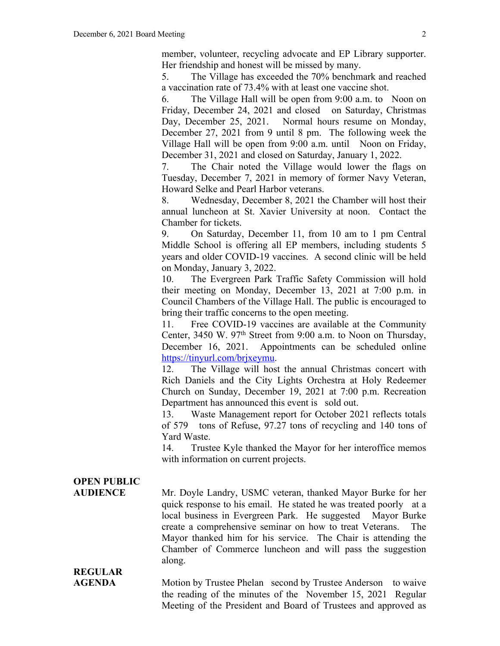member, volunteer, recycling advocate and EP Library supporter. Her friendship and honest will be missed by many.

5. The Village has exceeded the 70% benchmark and reached a vaccination rate of 73.4% with at least one vaccine shot.

6. The Village Hall will be open from 9:00 a.m. to Noon on Friday, December 24, 2021 and closed on Saturday, Christmas Day, December 25, 2021. Normal hours resume on Monday, December 27, 2021 from 9 until 8 pm. The following week the Village Hall will be open from 9:00 a.m. until Noon on Friday, December 31, 2021 and closed on Saturday, January 1, 2022.

7. The Chair noted the Village would lower the flags on Tuesday, December 7, 2021 in memory of former Navy Veteran, Howard Selke and Pearl Harbor veterans.

8. Wednesday, December 8, 2021 the Chamber will host their annual luncheon at St. Xavier University at noon. Contact the Chamber for tickets.

9. On Saturday, December 11, from 10 am to 1 pm Central Middle School is offering all EP members, including students 5 years and older COVID-19 vaccines. A second clinic will be held on Monday, January 3, 2022.

10. The Evergreen Park Traffic Safety Commission will hold their meeting on Monday, December 13, 2021 at 7:00 p.m. in Council Chambers of the Village Hall. The public is encouraged to bring their traffic concerns to the open meeting.

11. Free COVID-19 vaccines are available at the Community Center, 3450 W. 97<sup>th</sup> Street from 9:00 a.m. to Noon on Thursday, December 16, 2021. Appointments can be scheduled online https://tinyurl.com/brjxeymu.

12. The Village will host the annual Christmas concert with Rich Daniels and the City Lights Orchestra at Holy Redeemer Church on Sunday, December 19, 2021 at 7:00 p.m. Recreation Department has announced this event is sold out.

13. Waste Management report for October 2021 reflects totals of 579 tons of Refuse, 97.27 tons of recycling and 140 tons of Yard Waste.

14. Trustee Kyle thanked the Mayor for her interoffice memos with information on current projects.

## **OPEN PUBLIC**

**AUDIENCE** Mr. Doyle Landry, USMC veteran, thanked Mayor Burke for her quick response to his email. He stated he was treated poorly at a local business in Evergreen Park. He suggested Mayor Burke create a comprehensive seminar on how to treat Veterans. The Mayor thanked him for his service. The Chair is attending the Chamber of Commerce luncheon and will pass the suggestion along.

**REGULAR** 

AGENDA Motion by Trustee Phelan second by Trustee Anderson to waive the reading of the minutes of the November 15, 2021 Regular Meeting of the President and Board of Trustees and approved as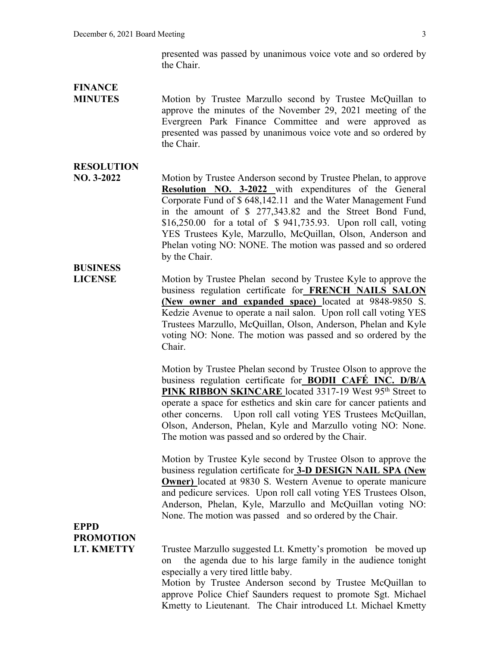presented was passed by unanimous voice vote and so ordered by the Chair.

# **FINANCE**

**MINUTES** Motion by Trustee Marzullo second by Trustee McQuillan to approve the minutes of the November 29, 2021 meeting of the Evergreen Park Finance Committee and were approved as presented was passed by unanimous voice vote and so ordered by the Chair.

### **RESOLUTION**

**NO. 3-2022** Motion by Trustee Anderson second by Trustee Phelan, to approve **Resolution NO. 3-2022** with expenditures of the General Corporate Fund of \$ 648,142.11 and the Water Management Fund in the amount of \$ 277,343.82 and the Street Bond Fund, \$16,250.00 for a total of \$ 941,735.93. Upon roll call, voting YES Trustees Kyle, Marzullo, McQuillan, Olson, Anderson and Phelan voting NO: NONE. The motion was passed and so ordered by the Chair.

## **BUSINESS**

**LICENSE** Motion by Trustee Phelan second by Trustee Kyle to approve the business regulation certificate for **FRENCH NAILS SALON (New owner and expanded space)** located at 9848-9850 S. Kedzie Avenue to operate a nail salon. Upon roll call voting YES Trustees Marzullo, McQuillan, Olson, Anderson, Phelan and Kyle voting NO: None. The motion was passed and so ordered by the Chair.

> Motion by Trustee Phelan second by Trustee Olson to approve the business regulation certificate for **BODII CAFÉ INC. D/B/A**  PINK RIBBON SKINCARE located 3317-19 West 95<sup>th</sup> Street to operate a space for esthetics and skin care for cancer patients and other concerns. Upon roll call voting YES Trustees McQuillan, Olson, Anderson, Phelan, Kyle and Marzullo voting NO: None. The motion was passed and so ordered by the Chair.

> Motion by Trustee Kyle second by Trustee Olson to approve the business regulation certificate for **3-D DESIGN NAIL SPA (New Owner)** located at 9830 S. Western Avenue to operate manicure and pedicure services. Upon roll call voting YES Trustees Olson, Anderson, Phelan, Kyle, Marzullo and McQuillan voting NO: None. The motion was passed and so ordered by the Chair.

## **EPPD PROMOTION**

**LT. KMETTY** Trustee Marzullo suggested Lt. Kmetty's promotion be moved up on the agenda due to his large family in the audience tonight especially a very tired little baby.

Motion by Trustee Anderson second by Trustee McQuillan to approve Police Chief Saunders request to promote Sgt. Michael Kmetty to Lieutenant. The Chair introduced Lt. Michael Kmetty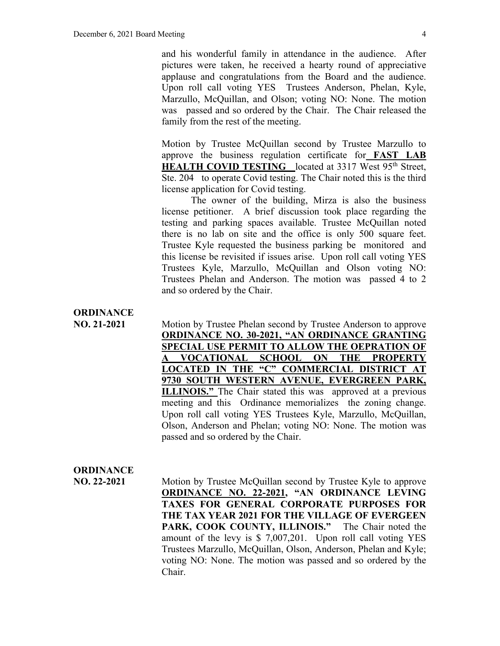and his wonderful family in attendance in the audience. After pictures were taken, he received a hearty round of appreciative applause and congratulations from the Board and the audience. Upon roll call voting YES Trustees Anderson, Phelan, Kyle, Marzullo, McQuillan, and Olson; voting NO: None. The motion was passed and so ordered by the Chair. The Chair released the family from the rest of the meeting.

Motion by Trustee McQuillan second by Trustee Marzullo to approve the business regulation certificate for **FAST LAB HEALTH COVID TESTING** located at 3317 West 95<sup>th</sup> Street, Ste. 204 to operate Covid testing. The Chair noted this is the third license application for Covid testing.

The owner of the building, Mirza is also the business license petitioner. A brief discussion took place regarding the testing and parking spaces available. Trustee McQuillan noted there is no lab on site and the office is only 500 square feet. Trustee Kyle requested the business parking be monitored and this license be revisited if issues arise. Upon roll call voting YES Trustees Kyle, Marzullo, McQuillan and Olson voting NO: Trustees Phelan and Anderson. The motion was passed 4 to 2 and so ordered by the Chair.

## **ORDINANCE**

**NO. 21-2021** Motion by Trustee Phelan second by Trustee Anderson to approve **ORDINANCE NO. 30-2021, "AN ORDINANCE GRANTING SPECIAL USE PERMIT TO ALLOW THE OEPRATION OF A VOCATIONAL SCHOOL ON THE PROPERTY LOCATED IN THE "C" COMMERCIAL DISTRICT AT 9730 SOUTH WESTERN AVENUE, EVERGREEN PARK, ILLINOIS."** The Chair stated this was approved at a previous meeting and this Ordinance memorializes the zoning change. Upon roll call voting YES Trustees Kyle, Marzullo, McQuillan, Olson, Anderson and Phelan; voting NO: None. The motion was passed and so ordered by the Chair.

### **ORDINANCE**

**NO. 22-2021** Motion by Trustee McQuillan second by Trustee Kyle to approve **ORDINANCE NO. 22-2021, "AN ORDINANCE LEVING TAXES FOR GENERAL CORPORATE PURPOSES FOR THE TAX YEAR 2021 FOR THE VILLAGE OF EVERGEEN PARK, COOK COUNTY, ILLINOIS."** The Chair noted the amount of the levy is \$ 7,007,201. Upon roll call voting YES Trustees Marzullo, McQuillan, Olson, Anderson, Phelan and Kyle; voting NO: None. The motion was passed and so ordered by the Chair.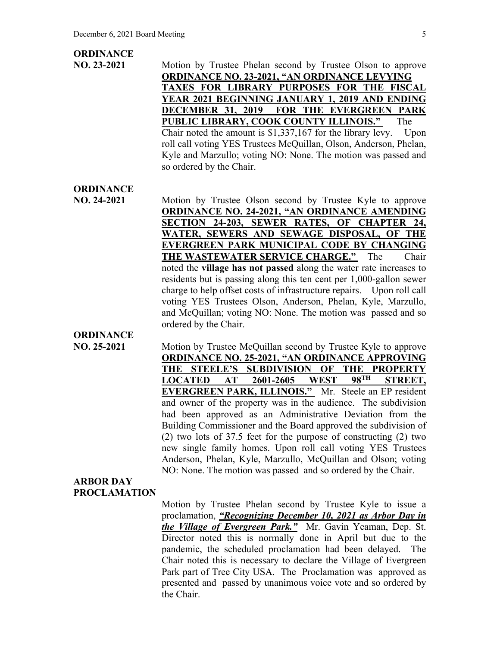#### **ORDINANCE**

**NO. 23-2021** Motion by Trustee Phelan second by Trustee Olson to approve **ORDINANCE NO. 23-2021, "AN ORDINANCE LEVYING TAXES FOR LIBRARY PURPOSES FOR THE FISCAL YEAR 2021 BEGINNING JANUARY 1, 2019 AND ENDING DECEMBER 31, 2019 FOR THE EVERGREEN PARK PUBLIC LIBRARY, COOK COUNTY ILLINOIS."** The Chair noted the amount is \$1,337,167 for the library levy.Upon roll call voting YES Trustees McQuillan, Olson, Anderson, Phelan, Kyle and Marzullo; voting NO: None. The motion was passed and so ordered by the Chair.

### **ORDINANCE**

**NO. 24-2021** Motion by Trustee Olson second by Trustee Kyle to approve **ORDINANCE NO. 24-2021, "AN ORDINANCE AMENDING SECTION 24-203, SEWER RATES, OF CHAPTER 24, WATER, SEWERS AND SEWAGE DISPOSAL, OF THE EVERGREEN PARK MUNICIPAL CODE BY CHANGING THE WASTEWATER SERVICE CHARGE."** The Chair noted the **village has not passed** along the water rate increases to residents but is passing along this ten cent per 1,000-gallon sewer charge to help offset costs of infrastructure repairs. Upon roll call voting YES Trustees Olson, Anderson, Phelan, Kyle, Marzullo, and McQuillan; voting NO: None. The motion was passed and so ordered by the Chair.

## **ORDINANCE**

**NO. 25-2021** Motion by Trustee McQuillan second by Trustee Kyle to approve **ORDINANCE NO. 25-2021, "AN ORDINANCE APPROVING THE STEELE'S SUBDIVISION OF THE PROPERTY LOCATED AT 2601-2605 WEST 98TH STREET, EVERGREEN PARK, ILLINOIS."** Mr. Steele an EP resident and owner of the property was in the audience. The subdivision had been approved as an Administrative Deviation from the Building Commissioner and the Board approved the subdivision of (2) two lots of 37.5 feet for the purpose of constructing (2) two new single family homes. Upon roll call voting YES Trustees Anderson, Phelan, Kyle, Marzullo, McQuillan and Olson; voting NO: None. The motion was passed and so ordered by the Chair.

#### **ARBOR DAY PROCLAMATION**

Motion by Trustee Phelan second by Trustee Kyle to issue a proclamation, *"Recognizing December 10, 2021 as Arbor Day in the Village of Evergreen Park."* Mr. Gavin Yeaman, Dep. St. Director noted this is normally done in April but due to the pandemic, the scheduled proclamation had been delayed. The Chair noted this is necessary to declare the Village of Evergreen Park part of Tree City USA. The Proclamation was approved as presented and passed by unanimous voice vote and so ordered by the Chair.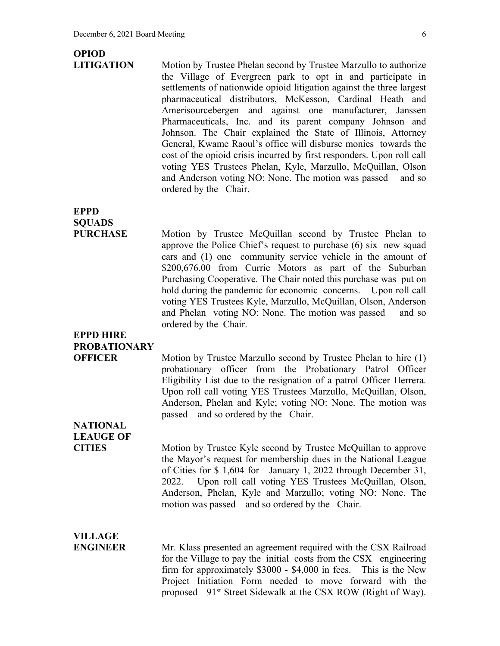## **OPIOD**

**LITIGATION** Motion by Trustee Phelan second by Trustee Marzullo to authorize the Village of Evergreen park to opt in and participate in settlements of nationwide opioid litigation against the three largest pharmaceutical distributors, McKesson, Cardinal Heath and Amerisourcebergen and against one manufacturer, Janssen Pharmaceuticals, Inc. and its parent company Johnson and Johnson. The Chair explained the State of Illinois, Attorney General, Kwame Raoul's office will disburse monies towards the cost of the opioid crisis incurred by first responders. Upon roll call voting YES Trustees Phelan, Kyle, Marzullo, McQuillan, Olson and Anderson voting NO: None. The motion was passed and so ordered by the Chair.

## **EPPD SQUADS**

**PURCHASE** Motion by Trustee McQuillan second by Trustee Phelan to approve the Police Chief's request to purchase (6) six new squad cars and (1) one community service vehicle in the amount of \$200,676.00 from Currie Motors as part of the Suburban Purchasing Cooperative. The Chair noted this purchase was put on hold during the pandemic for economic concerns. Upon roll call voting YES Trustees Kyle, Marzullo, McQuillan, Olson, Anderson and Phelan voting NO: None. The motion was passed and so ordered by the Chair.

## **EPPD HIRE PROBATIONARY**

**OFFICER** Motion by Trustee Marzullo second by Trustee Phelan to hire (1) probationary officer from the Probationary Patrol Officer Eligibility List due to the resignation of a patrol Officer Herrera. Upon roll call voting YES Trustees Marzullo, McQuillan, Olson, Anderson, Phelan and Kyle; voting NO: None. The motion was passed and so ordered by the Chair.

## **NATIONAL LEAUGE OF**

**CITIES** Motion by Trustee Kyle second by Trustee McQuillan to approve the Mayor's request for membership dues in the National League of Cities for \$ 1,604 for January 1, 2022 through December 31, 2022. Upon roll call voting YES Trustees McQuillan, Olson, Anderson, Phelan, Kyle and Marzullo; voting NO: None. The motion was passed and so ordered by the Chair.

### **VILLAGE**

**ENGINEER** Mr. Klass presented an agreement required with the CSX Railroad for the Village to pay the initial costs from the CSX engineering firm for approximately \$3000 - \$4,000 in fees. This is the New Project Initiation Form needed to move forward with the proposed 91<sup>st</sup> Street Sidewalk at the CSX ROW (Right of Way).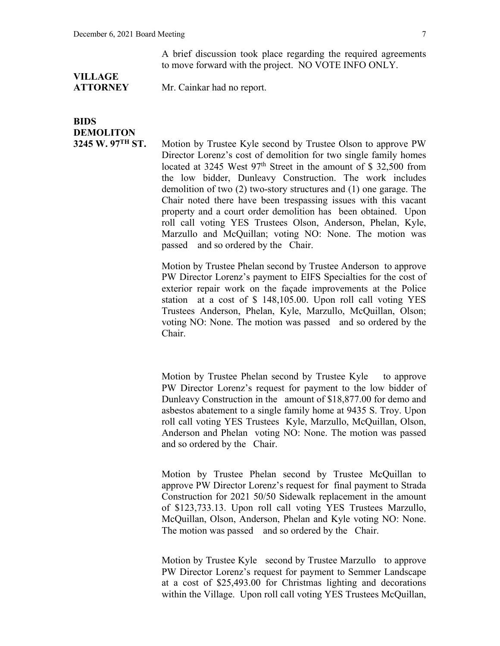A brief discussion took place regarding the required agreements to move forward with the project. NO VOTE INFO ONLY.

# **VILLAGE**

**ATTORNEY** Mr. Cainkar had no report.

## **BIDS DEMOLITON**

**3245 W. 97TH ST.** Motion by Trustee Kyle second by Trustee Olson to approve PW Director Lorenz's cost of demolition for two single family homes located at 3245 West  $97<sup>th</sup>$  Street in the amount of \$ 32,500 from the low bidder, Dunleavy Construction. The work includes demolition of two (2) two-story structures and (1) one garage. The Chair noted there have been trespassing issues with this vacant property and a court order demolition has been obtained. Upon roll call voting YES Trustees Olson, Anderson, Phelan, Kyle, Marzullo and McQuillan; voting NO: None. The motion was passed and so ordered by the Chair.

> Motion by Trustee Phelan second by Trustee Anderson to approve PW Director Lorenz's payment to EIFS Specialties for the cost of exterior repair work on the façade improvements at the Police station at a cost of \$ 148,105.00. Upon roll call voting YES Trustees Anderson, Phelan, Kyle, Marzullo, McQuillan, Olson; voting NO: None. The motion was passed and so ordered by the Chair.

> Motion by Trustee Phelan second by Trustee Kyle to approve PW Director Lorenz's request for payment to the low bidder of Dunleavy Construction in the amount of \$18,877.00 for demo and asbestos abatement to a single family home at 9435 S. Troy. Upon roll call voting YES Trustees Kyle, Marzullo, McQuillan, Olson, Anderson and Phelan voting NO: None. The motion was passed and so ordered by the Chair.

> Motion by Trustee Phelan second by Trustee McQuillan to approve PW Director Lorenz's request for final payment to Strada Construction for 2021 50/50 Sidewalk replacement in the amount of \$123,733.13. Upon roll call voting YES Trustees Marzullo, McQuillan, Olson, Anderson, Phelan and Kyle voting NO: None. The motion was passed and so ordered by the Chair.

> Motion by Trustee Kyle second by Trustee Marzullo to approve PW Director Lorenz's request for payment to Semmer Landscape at a cost of \$25,493.00 for Christmas lighting and decorations within the Village. Upon roll call voting YES Trustees McQuillan,